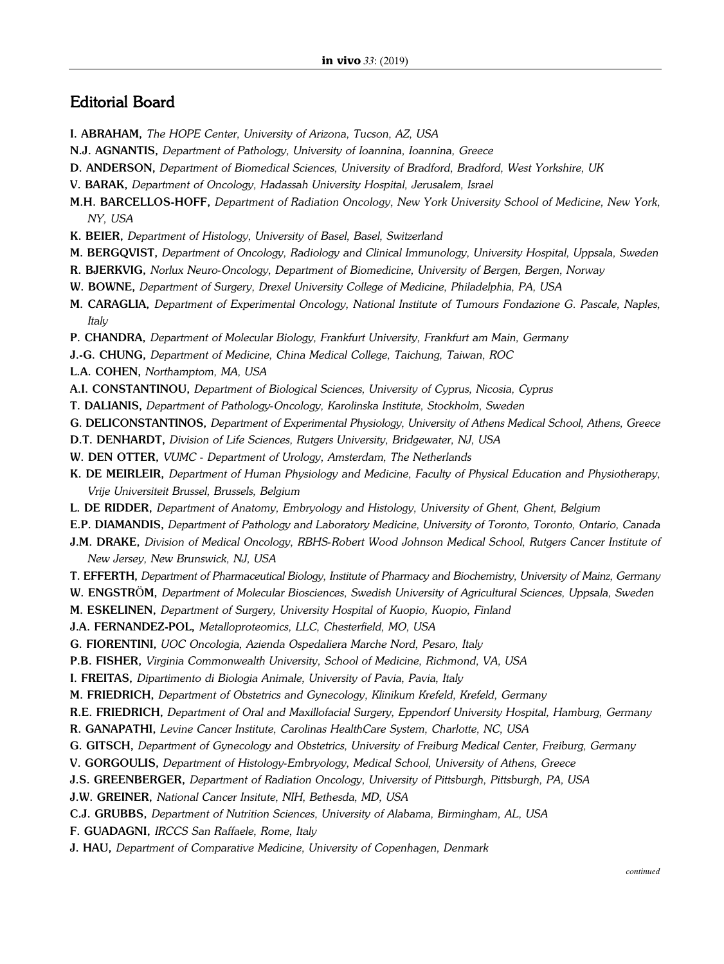## Editorial Board

- I. ABRAHAM, *The HOPE Center, University of Arizona, Tucson, AZ, USA*
- N.J. AGNANTIS, *Department of Pathology, University of Ioannina, Ioannina, Greece*
- D. ANDERSON, *Department of Biomedical Sciences, University of Bradford, Bradford, West Yorkshire, UK*
- V. BARAK, *Department of Oncology, Hadassah University Hospital, Jerusalem, Israel*
- M.H. BARCELLOS-HOFF, *Department of Radiation Oncology, New York University School of Medicine, New York, NY, USA*
- K. BEIER, *Department of Histology, University of Basel, Basel, Switzerland*
- M. BERGQVIST, *Department of Oncology, Radiology and Clinical Immunology, University Hospital, Uppsala, Sweden*
- R. BJERKVIG, *Norlux Neuro-Oncology, Department of Biomedicine, University of Bergen, Bergen, Norway*
- W. BOWNE, *Department of Surgery, Drexel University College of Medicine, Philadelphia, PA, USA*
- M. CARAGLIA, *Department of Experimental Oncology, National Institute of Tumours Fondazione G. Pascale, Naples, Italy*
- P. CHANDRA, *Department of Molecular Biology, Frankfurt University, Frankfurt am Main, Germany*
- J.-G. CHUNG, *Department of Medicine, China Medical College, Taichung, Taiwan, ROC*
- L.A. COHEN, *Northamptom, MA, USA*
- A.I. CONSTANTINOU, *Department of Biological Sciences, University of Cyprus, Nicosia, Cyprus*
- T. DALIANIS, *Department of Pathology-Oncology, Karolinska Institute, Stockholm, Sweden*
- G. DELICONSTANTINOS, *Department of Experimental Physiology, University of Athens Medical School, Athens, Greece*
- D.T. DENHARDT, *Division of Life Sciences, Rutgers University, Bridgewater, NJ, USA*
- W. DEN OTTER, *VUMC - Department of Urology, Amsterdam, The Netherlands*
- K. DE MEIRLEIR, *Department of Human Physiology and Medicine, Faculty of Physical Education and Physiotherapy, Vrije Universiteit Brussel, Brussels, Belgium*
- L. DE RIDDER, *Department of Anatomy, Embryology and Histology, University of Ghent, Ghent, Belgium*
- E.P. DIAMANDIS, *Department of Pathology and Laboratory Medicine, University of Toronto, Toronto, Ontario, Canada*
- J.M. DRAKE, *Division of Medical Oncology, RBHS-Robert Wood Johnson Medical School, Rutgers Cancer Institute of New Jersey, New Brunswick, NJ, USA*
- T. EFFERTH, *Department of Pharmaceutical Biology, Institute of Pharmacy and Biochemistry, University of Mainz, Germany*
- W. ENGSTRÖM, *Department of Molecular Biosciences, Swedish University of Agricultural Sciences, Uppsala, Sweden*
- M. ESKELINEN, *Department of Surgery, University Hospital of Kuopio, Kuopio, Finland*
- J.A. FERNANDEZ-POL, *Metalloproteomics, LLC, Chesterfield, MO, USA*
- G. FIORENTINI, *UOC Oncologia, Azienda Ospedaliera Marche Nord, Pesaro, Italy*
- P.B. FISHER, *Virginia Commonwealth University, School of Medicine, Richmond, VA, USA*
- I. FREITAS, *Dipartimento di Biologia Animale, University of Pavia, Pavia, Italy*
- M. FRIEDRICH, *Department of Obstetrics and Gynecology, Klinikum Krefeld, Krefeld, Germany*
- R.E. FRIEDRICH, *Department of Oral and Maxillofacial Surgery, Eppendorf University Hospital, Hamburg, Germany*
- R. GANAPATHI, *Levine Cancer Institute, Carolinas HealthCare System, Charlotte, NC, USA*
- G. GITSCH, *Department of Gynecology and Obstetrics, University of Freiburg Medical Center, Freiburg, Germany*
- V. GORGOULIS, *Department of Histology-Embryology, Medical School, University of Athens, Greece*
- J.S. GREENBERGER, *Department of Radiation Oncology, University of Pittsburgh, Pittsburgh, PA, USA*
- J.W. GREINER, *National Cancer Insitute, NIH, Bethesda, MD, USA*
- C.J. GRUBBS, *Department of Nutrition Sciences, University of Alabama, Birmingham, AL, USA*
- F. GUADAGNI, *IRCCS San Raffaele, Rome, Italy*
- J. HAU, *Department of Comparative Medicine, University of Copenhagen, Denmark*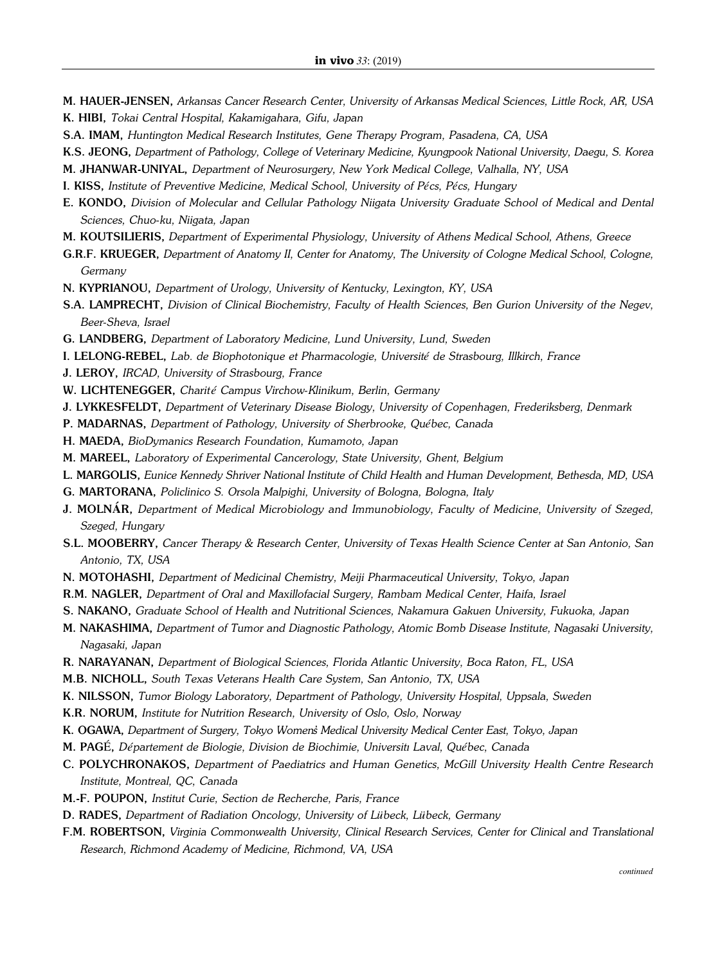- M. HAUER-JENSEN, *Arkansas Cancer Research Center, University of Arkansas Medical Sciences, Little Rock, AR, USA* K. HIBI, *Tokai Central Hospital, Kakamigahara, Gifu, Japan*
- S.A. IMAM, *Huntington Medical Research Institutes, Gene Therapy Program, Pasadena, CA, USA*
- K.S. JEONG, *Department of Pathology, College of Veterinary Medicine, Kyungpook National University, Daegu, S. Korea*
- M. JHANWAR-UNIYAL, *Department of Neurosurgery, New York Medical College, Valhalla, NY, USA*
- I. KISS, *Institute of Preventive Medicine, Medical School, University of Pécs, Pécs, Hungary*
- E. KONDO, *Division of Molecular and Cellular Pathology Niigata University Graduate School of Medical and Dental Sciences, Chuo-ku, Niigata, Japan*
- M. KOUTSILIERIS, *Department of Experimental Physiology, University of Athens Medical School, Athens, Greece*
- G.R.F. KRUEGER, *Department of Anatomy II, Center for Anatomy, The University of Cologne Medical School, Cologne, Germany*
- N. KYPRIANOU, *Department of Urology, University of Kentucky, Lexington, KY, USA*
- S.A. LAMPRECHT, *Division of Clinical Biochemistry, Faculty of Health Sciences, Ben Gurion University of the Negev, Beer-Sheva, Israel*
- G. LANDBERG, *Department of Laboratory Medicine, Lund University, Lund, Sweden*
- I. LELONG-REBEL, *Lab. de Biophotonique et Pharmacologie, Université de Strasbourg, Illkirch, France*
- J. LEROY, *IRCAD, University of Strasbourg, France*
- W. LICHTENEGGER, *Charit é Campus Virchow-Klinikum, Berlin, Germany*
- J. LYKKESFELDT, *Department of Veterinary Disease Biology, University of Copenhagen, Frederiksberg, Denmark*
- P. MADARNAS, *Department of Pathology, University of Sherbrooke, Québec, Canada*
- H. MAEDA, *BioDymanics Research Foundation, Kumamoto, Japan*
- M. MAREEL, *Laboratory of Experimental Cancerology, State University, Ghent, Belgium*
- L. MARGOLIS, *Eunice Kennedy Shriver National Institute of Child Health and Human Development, Bethesda, MD, USA*
- G. MARTORANA, *Policlinico S. Orsola Malpighi, University of Bologna, Bologna, Italy*
- J. MOLN**Á**R, *Department of Medical Microbiology and Immunobiology, Faculty of Medicine, University of Szeged, Szeged, Hungary*
- S.L. MOOBERRY, *Cancer Therapy & Research Center, University of Texas Health Science Center at San Antonio, San Antonio, TX, USA*
- N. MOTOHASHI, *Department of Medicinal Chemistry, Meiji Pharmaceutical University, Tokyo, Japan*
- R.M. NAGLER, *Department of Oral and Maxillofacial Surgery, Rambam Medical Center, Haifa, Israel*
- S. NAKANO, *Graduate School of Health and Nutritional Sciences, Nakamura Gakuen University, Fukuoka, Japan*
- M. NAKASHIMA, *Department of Tumor and Diagnostic Pathology, Atomic Bomb Disease Institute, Nagasaki University, Nagasaki, Japan*
- R. NARAYANAN, *Department of Biological Sciences, Florida Atlantic University, Boca Raton, FL, USA*
- M.B. NICHOLL, *South Texas Veterans Health Care System, San Antonio, TX, USA*
- K. NILSSON, *Tumor Biology Laboratory, Department of Pathology, University Hospital, Uppsala, Sweden*
- K.R. NORUM, *Institute for Nutrition Research, University of Oslo, Oslo, Norway*
- K. OGAWA, *Department of Surgery, Tokyo Womens' Medical University Medical Center East, Tokyo, Japan*
- M. PAGÉ, *Département de Biologie, Division de Biochimie, Université Laval, Québec, Canada*
- C. POLYCHRONAKOS, *Department of Paediatrics and Human Genetics, McGill University Health Centre Research Institute, Montreal, QC, Canada*
- M.-F. POUPON, *Institut Curie, Section de Recherche, Paris, France*
- D. RADES, *Department of Radiation Oncology, University of Lübeck, Lübeck, Germany*
- F.M. ROBERTSON, *Virginia Commonwealth University, Clinical Research Services, Center for Clinical and Translational Research, Richmond Academy of Medicine, Richmond, VA, USA*